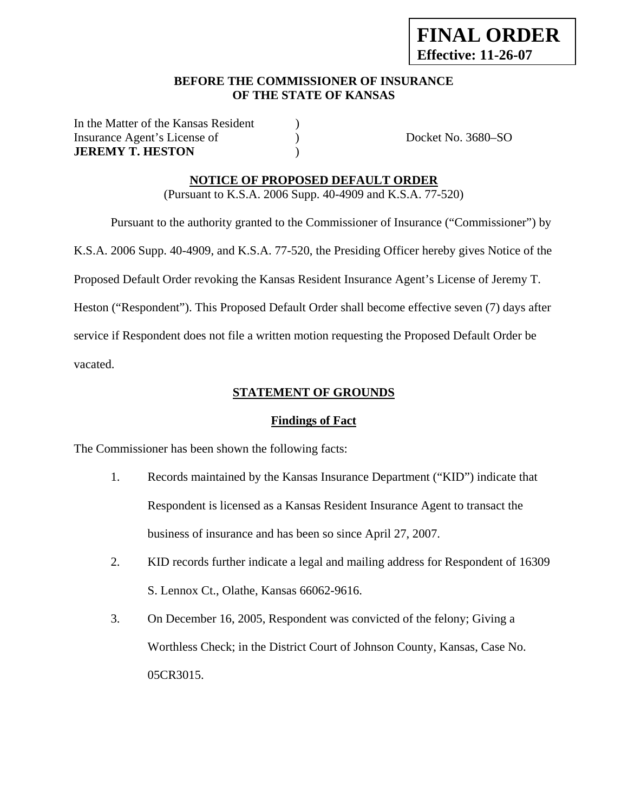## **BEFORE THE COMMISSIONER OF INSURANCE OF THE STATE OF KANSAS**

In the Matter of the Kansas Resident ) Insurance Agent's License of  $Docket No. 3680-SO$ **JEREMY T. HESTON** )

## **NOTICE OF PROPOSED DEFAULT ORDER**

(Pursuant to K.S.A. 2006 Supp. 40-4909 and K.S.A. 77-520)

Pursuant to the authority granted to the Commissioner of Insurance ("Commissioner") by

K.S.A. 2006 Supp. 40-4909, and K.S.A. 77-520, the Presiding Officer hereby gives Notice of the

Proposed Default Order revoking the Kansas Resident Insurance Agent's License of Jeremy T.

Heston ("Respondent"). This Proposed Default Order shall become effective seven (7) days after

service if Respondent does not file a written motion requesting the Proposed Default Order be

vacated.

## **STATEMENT OF GROUNDS**

## **Findings of Fact**

The Commissioner has been shown the following facts:

- 1. Records maintained by the Kansas Insurance Department ("KID") indicate that Respondent is licensed as a Kansas Resident Insurance Agent to transact the business of insurance and has been so since April 27, 2007.
- 2. KID records further indicate a legal and mailing address for Respondent of 16309 S. Lennox Ct., Olathe, Kansas 66062-9616.
- 3. On December 16, 2005, Respondent was convicted of the felony; Giving a Worthless Check; in the District Court of Johnson County, Kansas, Case No. 05CR3015.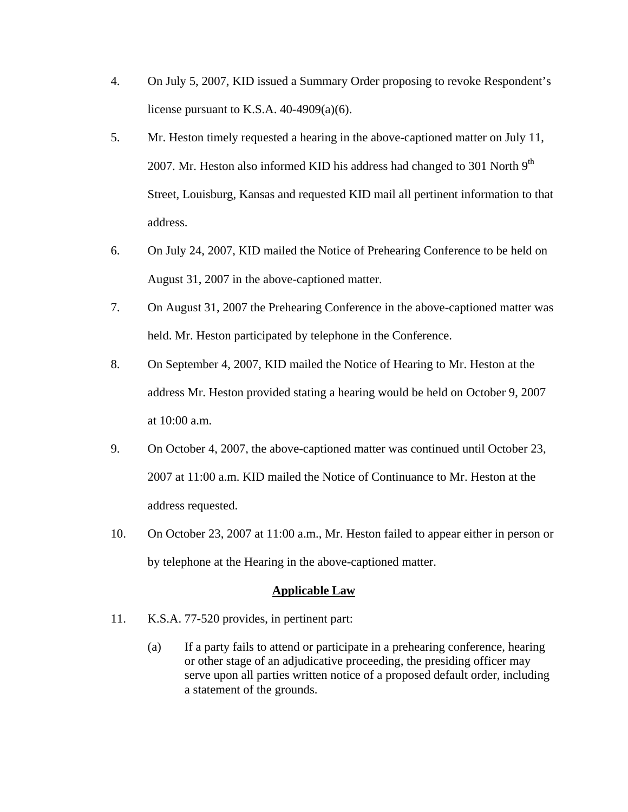- 4. On July 5, 2007, KID issued a Summary Order proposing to revoke Respondent's license pursuant to K.S.A.  $40-4909(a)(6)$ .
- 5. Mr. Heston timely requested a hearing in the above-captioned matter on July 11, 2007. Mr. Heston also informed KID his address had changed to 301 North  $9<sup>th</sup>$ Street, Louisburg, Kansas and requested KID mail all pertinent information to that address.
- 6. On July 24, 2007, KID mailed the Notice of Prehearing Conference to be held on August 31, 2007 in the above-captioned matter.
- 7. On August 31, 2007 the Prehearing Conference in the above-captioned matter was held. Mr. Heston participated by telephone in the Conference.
- 8. On September 4, 2007, KID mailed the Notice of Hearing to Mr. Heston at the address Mr. Heston provided stating a hearing would be held on October 9, 2007 at 10:00 a.m.
- 9. On October 4, 2007, the above-captioned matter was continued until October 23, 2007 at 11:00 a.m. KID mailed the Notice of Continuance to Mr. Heston at the address requested.
- 10. On October 23, 2007 at 11:00 a.m., Mr. Heston failed to appear either in person or by telephone at the Hearing in the above-captioned matter.

## **Applicable Law**

- 11. K.S.A. 77-520 provides, in pertinent part:
	- (a) If a party fails to attend or participate in a prehearing conference, hearing or other stage of an adjudicative proceeding, the presiding officer may serve upon all parties written notice of a proposed default order, including a statement of the grounds.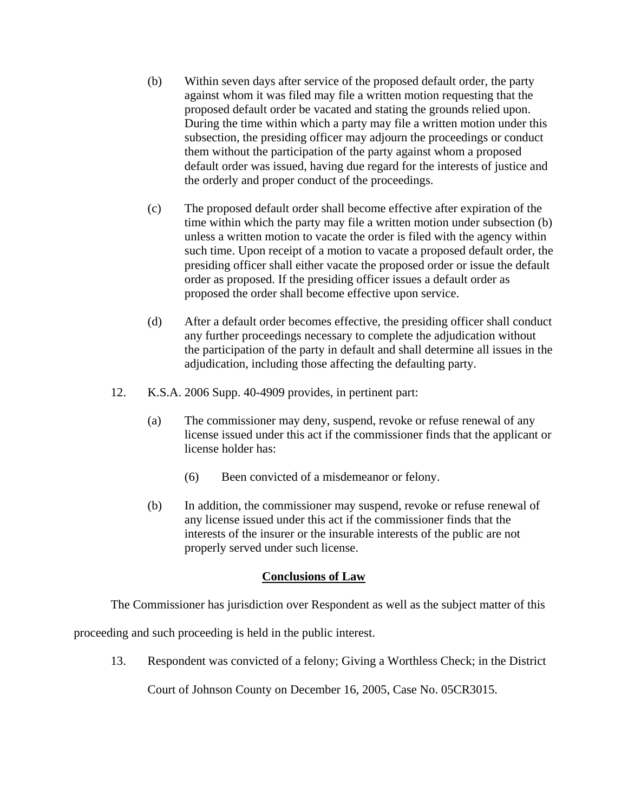- (b) Within seven days after service of the proposed default order, the party against whom it was filed may file a written motion requesting that the proposed default order be vacated and stating the grounds relied upon. During the time within which a party may file a written motion under this subsection, the presiding officer may adjourn the proceedings or conduct them without the participation of the party against whom a proposed default order was issued, having due regard for the interests of justice and the orderly and proper conduct of the proceedings.
- (c) The proposed default order shall become effective after expiration of the time within which the party may file a written motion under subsection (b) unless a written motion to vacate the order is filed with the agency within such time. Upon receipt of a motion to vacate a proposed default order, the presiding officer shall either vacate the proposed order or issue the default order as proposed. If the presiding officer issues a default order as proposed the order shall become effective upon service.
- (d) After a default order becomes effective, the presiding officer shall conduct any further proceedings necessary to complete the adjudication without the participation of the party in default and shall determine all issues in the adjudication, including those affecting the defaulting party.
- 12. K.S.A. 2006 Supp. 40-4909 provides, in pertinent part:
	- (a) The commissioner may deny, suspend, revoke or refuse renewal of any license issued under this act if the commissioner finds that the applicant or license holder has:
		- (6) Been convicted of a misdemeanor or felony.
	- (b) In addition, the commissioner may suspend, revoke or refuse renewal of any license issued under this act if the commissioner finds that the interests of the insurer or the insurable interests of the public are not properly served under such license.

## **Conclusions of Law**

The Commissioner has jurisdiction over Respondent as well as the subject matter of this

proceeding and such proceeding is held in the public interest.

13. Respondent was convicted of a felony; Giving a Worthless Check; in the District

Court of Johnson County on December 16, 2005, Case No. 05CR3015.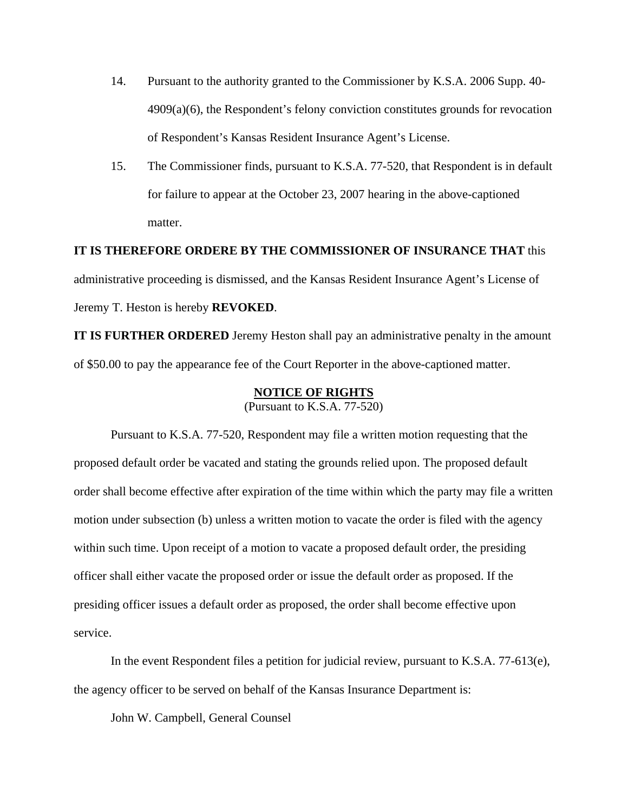- 14. Pursuant to the authority granted to the Commissioner by K.S.A. 2006 Supp. 40- 4909(a)(6), the Respondent's felony conviction constitutes grounds for revocation of Respondent's Kansas Resident Insurance Agent's License.
- 15. The Commissioner finds, pursuant to K.S.A. 77-520, that Respondent is in default for failure to appear at the October 23, 2007 hearing in the above-captioned matter.

**IT IS THEREFORE ORDERE BY THE COMMISSIONER OF INSURANCE THAT** this administrative proceeding is dismissed, and the Kansas Resident Insurance Agent's License of Jeremy T. Heston is hereby **REVOKED**.

**IT IS FURTHER ORDERED** Jeremy Heston shall pay an administrative penalty in the amount of \$50.00 to pay the appearance fee of the Court Reporter in the above-captioned matter.

### **NOTICE OF RIGHTS**

(Pursuant to K.S.A. 77-520)

Pursuant to K.S.A. 77-520, Respondent may file a written motion requesting that the proposed default order be vacated and stating the grounds relied upon. The proposed default order shall become effective after expiration of the time within which the party may file a written motion under subsection (b) unless a written motion to vacate the order is filed with the agency within such time. Upon receipt of a motion to vacate a proposed default order, the presiding officer shall either vacate the proposed order or issue the default order as proposed. If the presiding officer issues a default order as proposed, the order shall become effective upon service.

In the event Respondent files a petition for judicial review, pursuant to K.S.A. 77-613(e), the agency officer to be served on behalf of the Kansas Insurance Department is:

John W. Campbell, General Counsel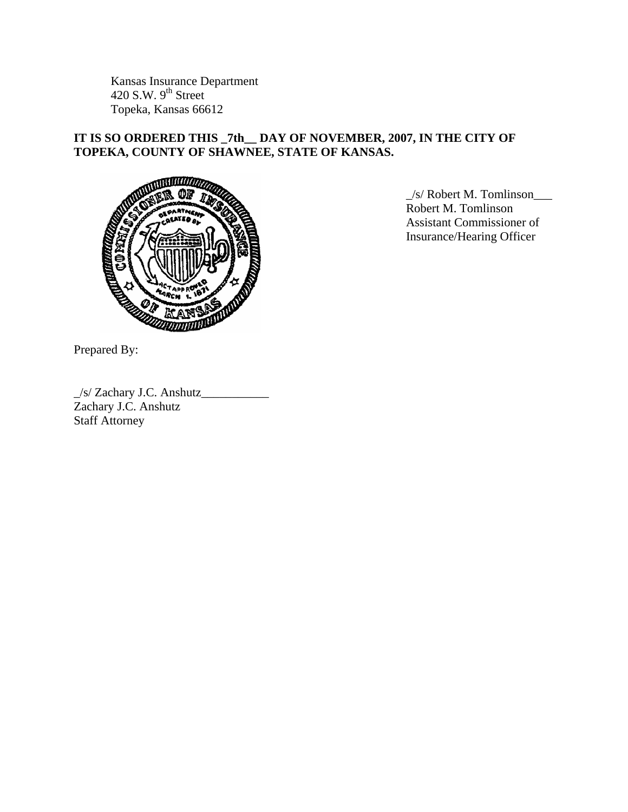Kansas Insurance Department 420 S.W.  $9<sup>th</sup>$  Street Topeka, Kansas 66612

# **IT IS SO ORDERED THIS \_7th\_\_ DAY OF NOVEMBER, 2007, IN THE CITY OF TOPEKA, COUNTY OF SHAWNEE, STATE OF KANSAS.**



 \_/s/ Robert M. Tomlinson\_\_\_ Robert M. Tomlinson Assistant Commissioner of Insurance/Hearing Officer

Prepared By:

\_/s/ Zachary J.C. Anshutz\_\_\_\_\_\_\_\_\_\_\_ Zachary J.C. Anshutz Staff Attorney